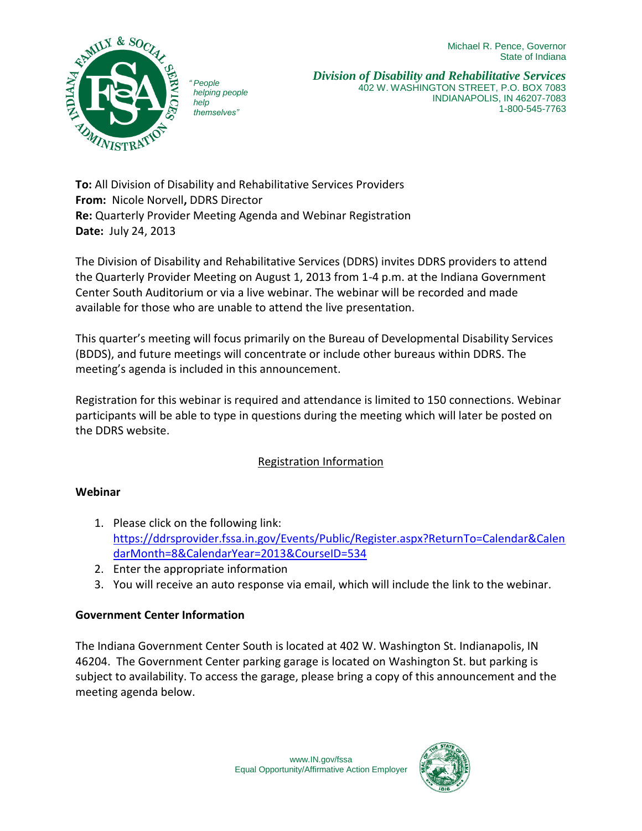Michael R. Pence, Governor State of Indiana



*" People helping people help themselves"*

*Division of Disability and Rehabilitative Services* 402 W. WASHINGTON STREET, P.O. BOX 7083 INDIANAPOLIS, IN 46207-7083 1-800-545-7763

**To:** All Division of Disability and Rehabilitative Services Providers **From:** Nicole Norvell**,** DDRS Director **Re:** Quarterly Provider Meeting Agenda and Webinar Registration **Date:** July 24, 2013

The Division of Disability and Rehabilitative Services (DDRS) invites DDRS providers to attend the Quarterly Provider Meeting on August 1, 2013 from 1-4 p.m. at the Indiana Government Center South Auditorium or via a live webinar. The webinar will be recorded and made available for those who are unable to attend the live presentation.

This quarter's meeting will focus primarily on the Bureau of Developmental Disability Services (BDDS), and future meetings will concentrate or include other bureaus within DDRS. The meeting's agenda is included in this announcement.

Registration for this webinar is required and attendance is limited to 150 connections. Webinar participants will be able to type in questions during the meeting which will later be posted on the DDRS website.

# Registration Information

#### **Webinar**

- 1. Please click on the following link: [https://ddrsprovider.fssa.in.gov/Events/Public/Register.aspx?ReturnTo=Calendar&Calen](https://ddrsprovider.fssa.in.gov/Events/Public/Register.aspx?ReturnTo=Calendar&CalendarMonth=8&CalendarYear=2013&CourseID=534) [darMonth=8&CalendarYear=2013&CourseID=534](https://ddrsprovider.fssa.in.gov/Events/Public/Register.aspx?ReturnTo=Calendar&CalendarMonth=8&CalendarYear=2013&CourseID=534)
- 2. Enter the appropriate information
- 3. You will receive an auto response via email, which will include the link to the webinar.

## **Government Center Information**

The Indiana Government Center South is located at 402 W. Washington St. Indianapolis, IN 46204. The Government Center parking garage is located on Washington St. but parking is subject to availability. To access the garage, please bring a copy of this announcement and the meeting agenda below.